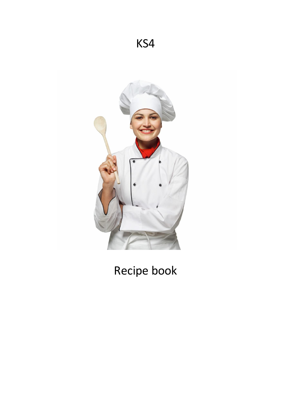# KS4



# Recipe book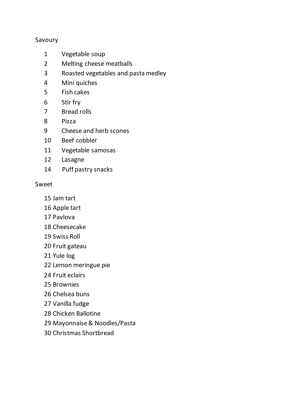## Savoury

- Vegetable soup
- Melting cheese meatballs
- Roasted vegetables and pasta medley
- Mini quiches
- Fish cakes
- Stir fry
- Bread rolls
- Pizza
- Cheese and herb scones
- Beef cobbler
- Vegetable samosas
- Lasagne
- 14 Puff pastry snacks

## Sweet

- Jam tart
- Apple tart
- Pavlova
- Cheesecake
- Swiss Roll
- Fruit gateau
- Yule log
- Lemon meringue pie
- Fruit eclairs
- Brownies
- Chelsea buns
- Vanilla fudge
- Chicken Ballotine
- Mayonnaise & Noodles/Pasta
- Christmas Shortbread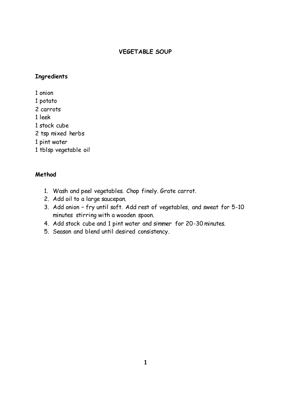#### **VEGETABLE SOUP**

## **Ingredients**

1 onion 1 potato 2 carrots 1 leek 1 stock cube 2 tsp mixed herbs 1 pint water 1 tblsp vegetable oil

- 1. Wash and peel vegetables. Chop finely. Grate carrot.
- 2. Add oil to a large saucepan.
- 3. Add onion fry until soft. Add rest of vegetables, and sweat for 5-10 minutes stirring with a wooden spoon.
- 4. Add stock cube and 1 pint water and simmer for 20-30 minutes.
- 5. Season and blend until desired consistency.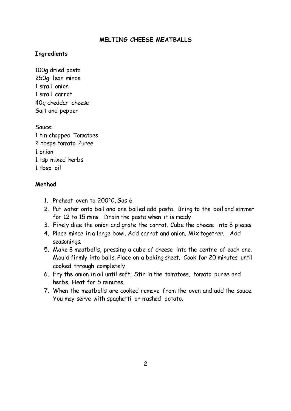#### **MELTING CHEESE MEATBALLS**

#### **Ingredients**

100g dried pasta 250g lean mince 1 small onion 1 small carrot 40g cheddar cheese Salt and pepper

Sauce: 1 tin chopped Tomatoes 2 tbsps tomato Puree 1 onion 1 tsp mixed herbs 1 tbsp oil

- 1. Preheat oven to  $200^{\circ}$ C, Gas 6
- 2. Put water onto boil and one boiled add pasta. Bring to the boil and simmer for 12 to 15 mins. Drain the pasta when it is ready.
- 3. Finely dice the onion and grate the carrot. Cube the cheese into 8 pieces.
- 4. Place mince in a large bowl. Add carrot and onion. Mix together. Add seasonings.
- 5. Make 8 meatballs, pressing a cube of cheese into the centre of each one. Mould firmly into balls. Place on a baking sheet. Cook for 20 minutes until cooked through completely.
- 6. Fry the onion in oil until soft. Stir in the tomatoes, tomato puree and herbs. Heat for 5 minutes.
- 7. When the meatballs are cooked remove from the oven and add the sauce. You may serve with spaghetti or mashed potato.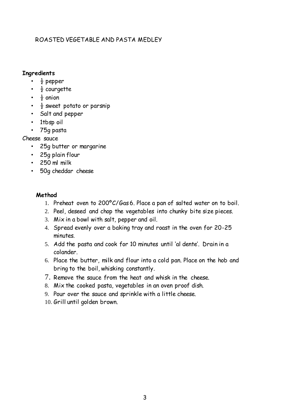## ROASTED VEGETABLE AND PASTA MEDLEY

## **Ingredients**

- $\frac{1}{2}$  pepper
- $\frac{1}{2}$  courgette
- $\cdot$   $\frac{1}{2}$  onion
- $\frac{1}{2}$  sweet potato or parsnip
- Salt and pepper
- 1tbsp oil
- 75g pasta

## Cheese sauce

- 25g butter or margarine
- 25g plain flour
- 250 ml milk
- 50g cheddar cheese

- 1. Preheat oven to 200ºC/Gas 6. Place a pan of salted water on to boil.
- 2. Peel, deseed and chop the vegetables into chunky bite size pieces.
- 3. Mix in a bowl with salt, pepper and oil.
- 4. Spread evenly over a baking tray and roast in the oven for 20-25 minutes.
- 5. Add the pasta and cook for 10 minutes until 'al dente'. Drain in a colander.
- 6. Place the butter, milk and flour into a cold pan. Place on the hob and bring to the boil, whisking constantly.
- 7. Remove the sauce from the heat and whisk in the cheese.
- 8. Mix the cooked pasta, vegetables in an oven proof dish.
- 9. Pour over the sauce and sprinkle with a little cheese.
- 10. Grill until golden brown.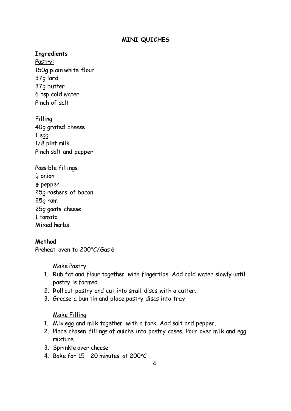#### **MINI QUICHES**

#### **Ingredients**

Pastry: 150g plain white flour 37g lard 37g butter 6 tsp cold water Pinch of salt

Filling: 40g grated cheese 1 egg 1/8 pint milk Pinch salt and pepper

Possible fillings:  $rac{1}{4}$  onion  $\frac{1}{4}$  pepper 25g rashers of bacon 25g ham 25g goats cheese 1 tomato Mixed herbs

## **Method**

Preheat oven to 200°C/Gas 6

Make Pastry

- 1. Rub fat and flour together with fingertips. Add cold water slowly until pastry is formed.
- 2. Roll out pastry and cut into small discs with a cutter.
- 3. Grease a bun tin and place pastry discs into tray

#### Make Filling

- 1. Mix egg and milk together with a fork. Add salt and pepper.
- 2. Place chosen fillings of quiche into pastry cases. Pour over milk and egg mixture.
- 3. Sprinkle over cheese
- 4. Bake for  $15 20$  minutes at  $200^{\circ}$ C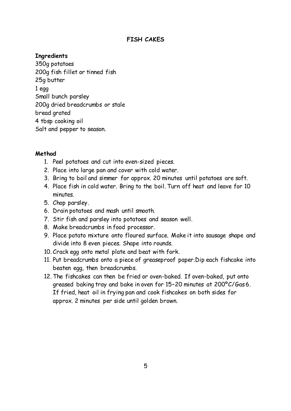## **FISH CAKES**

## **Ingredients**

350g potatoes 200g fish fillet or tinned fish 25g butter 1 egg Small bunch parsley 200g dried breadcrumbs or stale bread grated 4 tbsp cooking oil Salt and pepper to season.

- 1. Peel potatoes and cut into even-sized pieces.
- 2. Place into large pan and cover with cold water.
- 3. Bring to boil and simmer for approx. 20 minutes until potatoes are soft.
- 4. Place fish in cold water. Bring to the boil. Turn off heat and leave for 10 minutes.
- 5. Chop parsley.
- 6. Drain potatoes and mash until smooth.
- 7. Stir fish and parsley into potatoes and season well.
- 8. Make breadcrumbs in food processor.
- 9. Place potato mixture onto floured surface. Make it into sausage shape and divide into 8 even pieces. Shape into rounds.
- 10. Crack egg onto metal plate and beat with fork.
- 11. Put breadcrumbs onto a piece of greaseproof paper.Dip each fishcake into beaten egg, then breadcrumbs.
- 12. The fishcakes can then be fried or oven-baked. If oven-baked, put onto greased baking tray and bake in oven for 15–20 minutes at 200ºC/Gas 6. If fried, heat oil in frying pan and cook fishcakes on both sides for approx. 2 minutes per side until golden brown.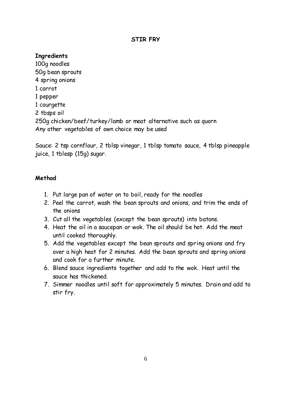## **STIR FRY**

### **Ingredients**

100g noodles 50g bean sprouts 4 spring onions 1 carrot 1 pepper 1 courgette 2 tbsps oil 250g chicken/beef/turkey/lamb or meat alternative such as quorn Any other vegetables of own choice may be used

Sauce: 2 tsp cornflour, 2 tblsp vinegar, 1 tblsp tomato sauce, 4 tblsp pineapple juice, 1 tblesp (15g) sugar.

- 1. Put large pan of water on to boil, ready for the noodles
- 2. Peel the carrot, wash the bean sprouts and onions, and trim the ends of the onions
- 3. Cut all the vegetables (except the bean sprouts) into batons.
- 4. Heat the oil in a saucepan or wok. The oil should be hot. Add the meat until cooked thoroughly.
- 5. Add the vegetables except the bean sprouts and spring onions and fry over a high heat for 2 minutes. Add the bean sprouts and spring onions and cook for a further minute.
- 6. Blend sauce ingredients together and add to the wok. Heat until the sauce has thickened.
- 7. Simmer noodles until soft for approximately 5 minutes. Drain and add to stir fry.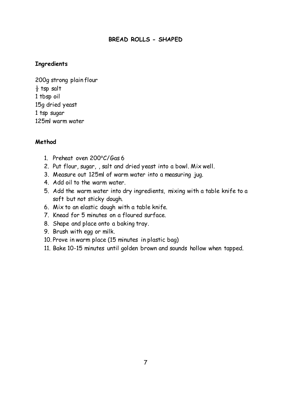#### **BREAD ROLLS - SHAPED**

#### **Ingredients**

200g strong plain flour  $\frac{1}{2}$  tsp salt 1 tbsp oil 15g dried yeast 1 tsp sugar 125ml warm water

- 1. Preheat oven 200°C/Gas 6
- 2. Put flour, sugar, , salt and dried yeast into a bowl. Mix well.
- 3. Measure out 125ml of warm water into a measuring jug.
- 4. Add oil to the warm water.
- 5. Add the warm water into dry ingredients, mixing with a table knife to a soft but not sticky dough.
- 6. Mix to an elastic dough with a table knife.
- 7. Knead for 5 minutes on a floured surface.
- 8. Shape and place onto a baking tray.
- 9. Brush with egg or milk.
- 10. Prove in warm place (15 minutes in plastic bag)
- 11. Bake 10-15 minutes until golden brown and sounds hollow when tapped.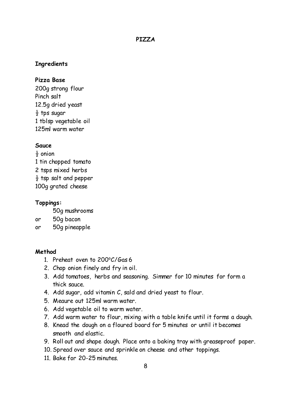### **PIZZA**

#### **Ingredients**

#### **Pizza Base**

200g strong flour Pinch salt 12.5g dried yeast  $rac{1}{2}$  tps sugar 1 tblsp vegetable oil 125ml warm water

#### **Sauce**

- $rac{1}{2}$  onion 1 tin chopped tomato
- 2 tsps mixed herbs

 $\frac{1}{2}$  tsp salt and pepper

100g grated cheese

#### **Toppings:**

50g mushrooms

or 50g bacon

or 50g pineapple

- 1. Preheat oven to 200°C/Gas 6
- 2. Chop onion finely and fry in oil.
- 3. Add tomatoes, herbs and seasoning. Simmer for 10 minutes for form a thick sauce.
- 4. Add sugar, add vitamin C, sald and dried yeast to flour.
- 5. Meaure out 125ml warm water.
- 6. Add vegetable oil to warm water.
- 7. Add warm water to flour, mixing with a table knife until it forms a dough.
- 8. Knead the dough on a floured board for 5 minutes or until it becomes smooth and elastic.
- 9. Roll out and shape dough. Place onto a baking tray with greaseproof paper.
- 10. Spread over sauce and sprinkle on cheese and other toppings.
- 11. Bake for 20-25 minutes.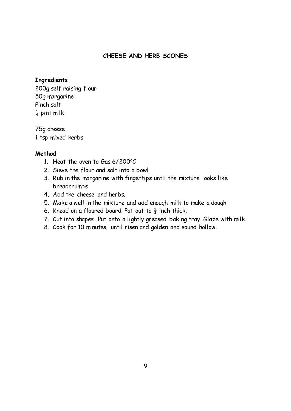## **CHEESE AND HERB SCONES**

#### **Ingredients**

200g self raising flour 50g margarine Pinch salt  $\frac{1}{4}$  pint milk

75g cheese 1 tsp mixed herbs

- 1. Heat the oven to Gas  $6/200^{\circ}$ C
- 2. Sieve the flour and salt into a bowl
- 3. Rub in the margarine with fingertips until the mixture looks like breadcrumbs
- 4. Add the cheese and herbs.
- 5. Make a well in the mixture and add enough milk to make a dough
- 6. Knead on a floured board. Pat out to  $\frac{1}{2}$  inch thick.
- 7. Cut into shapes. Put onto a lightly greased baking tray. Glaze with milk.
- 8. Cook for 10 minutes, until risen and golden and sound hollow.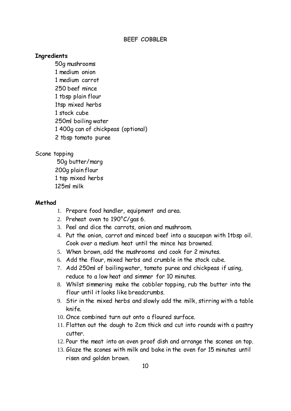#### **BEEF COBBLER**

#### **Ingredients**

50g mushrooms 1 medium onion 1 medium carrot 250 beef mince 1 tbsp plain flour 1tsp mixed herbs 1 stock cube 250ml boiling water 1 400g can of chickpeas (optional) 2 tbsp tomato puree

#### Scone topping

50g butter/marg 200g plain flour 1 tsp mixed herbs 125ml milk

- 1. Prepare food handler, equipment and area.
- 2. Preheat oven to 190°C/gas 6.
- 3. Peel and dice the carrots, onion and mushroom.
- 4. Put the onion, carrot and minced beef into a saucepan with 1tbsp oil. Cook over a medium heat until the mince has browned.
- 5. When brown, add the mushrooms and cook for 2 minutes.
- 6. Add the flour, mixed herbs and crumble in the stock cube.
- 7. Add 250ml of boiling water, tomato puree and chickpeas if using, reduce to a low heat and simmer for 10 minutes.
- 8. Whilst simmering make the cobbler topping, rub the butter into the flour until it looks like breadcrumbs.
- 9. Stir in the mixed herbs and slowly add the milk, stirring with a table knife.
- 10. Once combined turn out onto a floured surface.
- 11. Flatten out the dough to 2cm thick and cut into rounds with a pastry cutter.
- 12. Pour the meat into an oven proof dish and arrange the scones on top.
- 13. Glaze the scones with milk and bake in the oven for 15 minutes until risen and golden brown.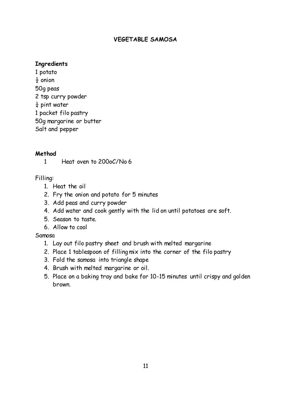## **VEGETABLE SAMOSA**

## **Ingredients**

1 potato  $rac{1}{2}$  onion 50g peas 2 tsp curry powder  $\frac{1}{4}$  pint water 1 packet filo pastry 50g margarine or butter Salt and pepper

## **Method**

1 Heat oven to 200oC/No 6

## Filling:

- 1. Heat the oil
- 2. Fry the onion and potato for 5 minutes
- 3. Add peas and curry powder
- 4. Add water and cook gently with the lid on until potatoes are soft.
- 5. Season to taste.
- 6. Allow to cool

## Samosa

- 1. Lay out filo pastry sheet and brush with melted margarine
- 2. Place 1 tablespoon of filling mix into the corner of the filo pastry
- 3. Fold the samosa into triangle shape
- 4. Brush with melted margarine or oil.
- 5. Place on a baking tray and bake for 10-15 minutes until crispy and golden brown.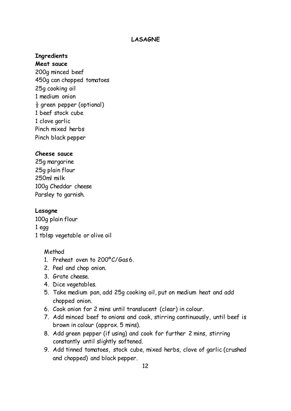## **LASAGNE**

## **Ingredients**

**Meat sauce** 200g minced beef 450g can chopped tomatoes 25g cooking oil 1 medium onion  $\frac{1}{2}$  green pepper (optional) 1 beef stock cube 1 clove garlic Pinch mixed herbs Pinch black pepper

## **Cheese sauce**

25g margarine 25g plain flour 250ml milk 100g Cheddar cheese Parsley to garnish.

**Lasagne** 100g plain flour 1 egg 1 tblsp vegetable or olive oil

- 1. Preheat oven to 200ºC/Gas 6.
- 2. Peel and chop onion.
- 3. Grate cheese.
- 4. Dice vegetables.
- 5. Take medium pan, add 25g cooking oil, put on medium heat and add chopped onion.
- 6. Cook onion for 2 mins until translucent (clear) in colour.
- 7. Add minced beef to onions and cook, stirring continuously, until beef is brown in colour (approx. 5 mins).
- 8. Add green pepper (if using) and cook for further 2 mins, stirring constantly until slightly softened.
- 9. Add tinned tomatoes, stock cube, mixed herbs, clove of garlic (crushed and chopped) and black pepper.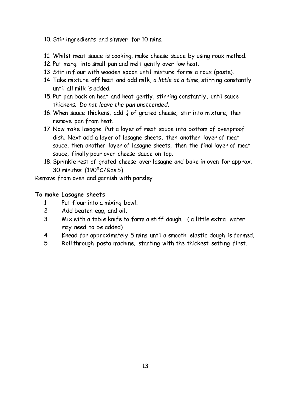- 10. Stir ingredients and simmer for 10 mins.
- 11. Whilst meat sauce is cooking, make cheese sauce by using roux method.
- 12. Put marg. into small pan and melt gently over low heat.
- 13. Stir in flour with wooden spoon until mixture forms a roux (paste).
- 14. Take mixture off heat and add milk, *a little at a time*, stirring constantly until all milk is added.
- 15. Put pan back on heat and heat gently, stirring constantly, until sauce thickens. *Do not leave the pan unattended*.
- 16. When sauce thickens, add  $\frac{3}{4}$  of grated cheese, stir into mixture, then remove pan from heat.
- 17. Now make lasagne. Put a layer of meat sauce into bottom of ovenproof dish. Next add a layer of lasagne sheets, then another layer of meat sauce, then another layer of lasagne sheets, then the final layer of meat sauce, finally pour over cheese sauce on top.
- 18. Sprinkle rest of grated cheese over lasagne and bake in oven for approx. 30 minutes (190ºC/Gas 5).

Remove from oven and garnish with parsley

#### **To make Lasagne sheets**

- 1 Put flour into a mixing bowl.
- 2 Add beaten egg, and oil.
- 3 Mix with a table knife to form a stiff dough. ( a little extra water may need to be added)
- 4 Knead for approximately 5 mins until a smooth elastic dough is formed.
- 5 Roll through pasta machine, starting with the thickest setting first.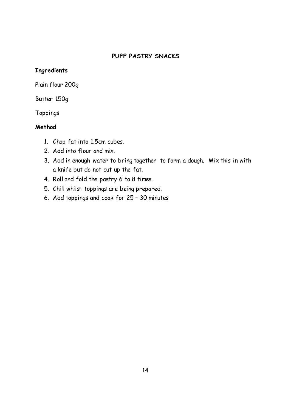## **PUFF PASTRY SNACKS**

## **Ingredients**

Plain flour 200g

Butter 150g

Toppings

- 1. Chop fat into 1.5cm cubes.
- 2. Add into flour and mix.
- 3. Add in enough water to bring together to form a dough. Mix this in with a knife but do not cut up the fat.
- 4. Roll and fold the pastry 6 to 8 times.
- 5. Chill whilst toppings are being prepared.
- 6. Add toppings and cook for 25 30 minutes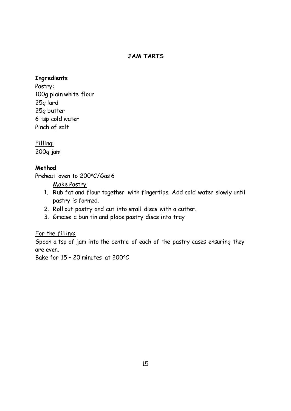## **JAM TARTS**

## **Ingredients**

Pastry: 100g plain white flour 25g lard 25g butter 6 tsp cold water Pinch of salt

Filling: 200g jam

## **Method**

Preheat oven to 200°C/Gas 6

Make Pastry

- 1. Rub fat and flour together with fingertips. Add cold water slowly until pastry is formed.
- 2. Roll out pastry and cut into small discs with a cutter.
- 3. Grease a bun tin and place pastry discs into tray

For the filling:

Spoon a tsp of jam into the centre of each of the pastry cases ensuring they are even.

Bake for  $15 - 20$  minutes at  $200^{\circ}$ C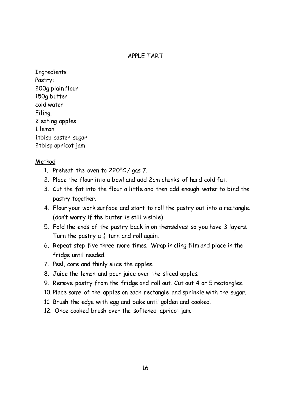#### APPLE TART

Ingredients Pastry: 200g plain flour 150g butter cold water Filing: 2 eating apples 1 lemon 1tblsp caster sugar 2tblsp apricot jam

- 1. Preheat the oven to  $220^{\circ}C /$  gas 7.
- 2. Place the flour into a bowl and add 2cm chunks of hard cold fat.
- 3. Cut the fat into the flour a little and then add enough water to bind the pastry together.
- 4. Flour your work surface and start to roll the pastry out into a rectangle. (don't worry if the butter is still visible)
- 5. Fold the ends of the pastry back in on themselves so you have 3 layers. Turn the pastry a  $\frac{1}{4}$  turn and roll again.
- 6. Repeat step five three more times. Wrap in cling film and place in the fridge until needed.
- 7. Peel, core and thinly slice the apples.
- 8. Juice the lemon and pour juice over the sliced apples.
- 9. Remove pastry from the fridge and roll out. Cut out 4 or 5 rectangles.
- 10. Place some of the apples on each rectangle and sprinkle with the sugar.
- 11. Brush the edge with egg and bake until golden and cooked.
- 12. Once cooked brush over the softened apricot jam.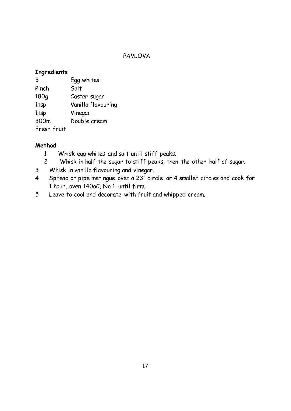## PAVLOVA

## **Ingredients**

| 3                | Egg whites         |
|------------------|--------------------|
| Pinch            | Salt               |
| 180 <sub>g</sub> | Caster sugar       |
| 1tsp             | Vanilla flavouring |
| 1tsp             | Vinegar            |
| 300ml            | Double cream       |
| Fresh fruit      |                    |

- 1 Whisk egg whites and salt until stiff peaks.
- 2 Whisk in half the sugar to stiff peaks, then the other half of sugar.
- 3 Whisk in vanilla flavouring and vinegar.
- 4 Spread or pipe meringue over a 23" circle or 4 smaller circles and cook for 1 hour, oven 140oC, No 1, until firm.
- 5 Leave to cool and decorate with fruit and whipped cream.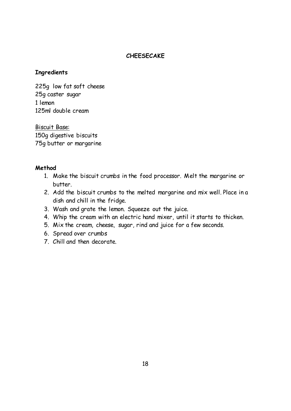## **CHEESECAKE**

### **Ingredients**

225g low fat soft cheese 25g caster sugar 1 lemon 125ml double cream

Biscuit Base: 150g digestive biscuits 75g butter or margarine

- 1. Make the biscuit crumbs in the food processor. Melt the margarine or butter.
- 2. Add the biscuit crumbs to the melted margarine and mix well. Place in a dish and chill in the fridge.
- 3. Wash and grate the lemon. Squeeze out the juice.
- 4. Whip the cream with an electric hand mixer, until it starts to thicken.
- 5. Mix the cream, cheese, sugar, rind and juice for a few seconds.
- 6. Spread over crumbs
- 7. Chill and then decorate.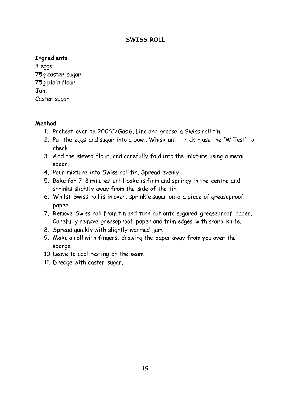### **SWISS ROLL**

#### **Ingredients**

3 eggs 75g caster sugar 75g plain flour Jam Caster sugar

- 1. Preheat oven to 200°C/Gas 6. Line and grease a Swiss roll tin.
- 2. Put the eggs and sugar into a bowl. Whisk until thick use the 'W Test' to check.
- 3. Add the sieved flour, and carefully fold into the mixture using a metal spoon.
- 4. Pour mixture into Swiss roll tin. Spread evenly.
- 5. Bake for 7–8 minutes until cake is firm and springy in the centre and shrinks slightly away from the side of the tin.
- 6. Whilst Swiss roll is in oven, sprinkle sugar onto a piece of greaseproof paper.
- 7. Remove Swiss roll from tin and turn out onto sugared greaseproof paper. Carefully remove greaseproof paper and trim edges with sharp knife.
- 8. Spread quickly with slightly warmed jam.
- 9. Make a roll with fingers, drawing the paper away from you over the sponge.
- 10. Leave to cool resting on the seam.
- 11. Dredge with caster sugar.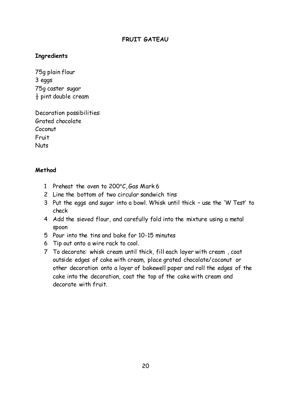### **Ingredients**

75g plain flour 3 eggs 75g caster sugar  $\frac{1}{2}$  pint double cream

Decoration possibilities: Grated chocolate Coconut Fruit **Nuts** 

- 1 Preheat the oven to  $200^{\circ}$ C, Gas Mark 6
- 2 Line the bottom of two circular sandwich tins
- 3 Put the eggs and sugar into a bowl. Whisk until thick use the 'W Test' to check
- 4 Add the sieved flour, and carefully fold into the mixture using a metal spoon
- 5 Pour into the tins and bake for 10-15 minutes
- 6 Tip out onto a wire rack to cool.
- 7 To decorate: whisk cream until thick, fill each layer with cream , coat outside edges of cake with cream, place grated chocolate/coconut or other decoration onto a layer of bakewell paper and roll the edges of the cake into the decoration, coat the top of the cake with cream and decorate with fruit.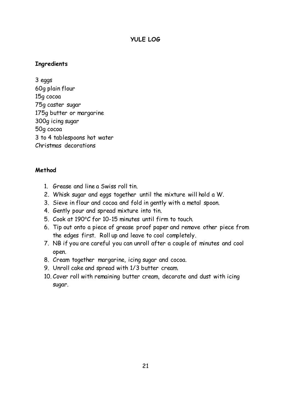## **YULE LOG**

## **Ingredients**

3 eggs 60g plain flour 15g cocoa 75g caster sugar 175g butter or margarine 300g icing sugar 50g cocoa 3 to 4 tablespoons hot water Christmas decorations

- 1. Grease and line a Swiss roll tin.
- 2. Whisk sugar and eggs together until the mixture will hold a W.
- 3. Sieve in flour and cocoa and fold in gently with a metal spoon.
- 4. Gently pour and spread mixture into tin.
- 5. Cook at 190°C for 10-15 minutes until firm to touch.
- 6. Tip out onto a piece of grease proof paper and remove other piece from the edges first. Roll up and leave to cool completely.
- 7. NB if you are careful you can unroll after a couple of minutes and cool open.
- 8. Cream together margarine, icing sugar and cocoa.
- 9. Unroll cake and spread with 1/3 butter cream.
- 10. Cover roll with remaining butter cream, decorate and dust with icing sugar.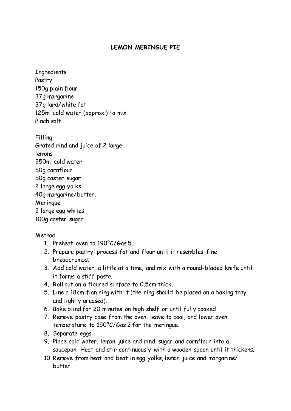## **LEMON MERINGUE PIE**

Ingredients Pastry 150g plain flour 37g margarine 37g lard/white fat 125ml cold water (approx.) to mix Pinch salt

Filling Grated rind and juice of 2 large lemons 250ml cold water 50g cornflour 50g caster sugar 2 large egg yolks 40g margarine/butter. Meringue 2 large egg whites 100g caster sugar

- 1. Preheat oven to 190°C/Gas 5.
- 2. Prepare pastry: process fat and flour until it resembles fine breadcrumbs.
- 3. Add cold water, a little at a time, and mix with a round-bladed knife until it forms a stiff paste.
- 4. Roll out on a floured surface to 0.5cm thick.
- 5. Line a 18cm flan ring with it (the ring should be placed on a baking tray and lightly greased).
- 6. Bake blind for 20 minutes on high shelf or until fully cooked
- 7. Remove pastry case from the oven, leave to cool, and lower oven temperature to 150°C/Gas 2 for the meringue.
- 8. Separate eggs.
- 9. Place cold water, lemon juice and rind, sugar and cornflour into a saucepan. Heat and stir continuously with a wooden spoon until it thickens.
- 10. Remove from heat and beat in egg yolks, lemon juice and margarine/ butter.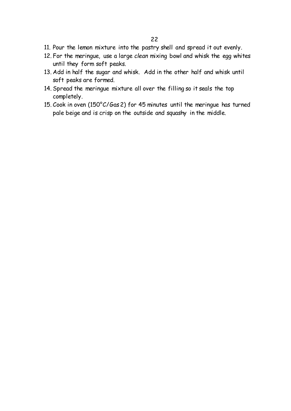- 11. Pour the lemon mixture into the pastry shell and spread it out evenly.
- 12. For the meringue, use a large *clean* mixing bowl and whisk the egg whites until they form soft peaks.
- 13. Add in half the sugar and whisk. Add in the other half and whisk until soft peaks are formed.
- 14. Spread the meringue mixture all over the filling so it seals the top completely.
- 15. Cook in oven (150°C/Gas 2) for 45 minutes until the meringue has turned pale beige and is crisp on the outside and squashy in the middle.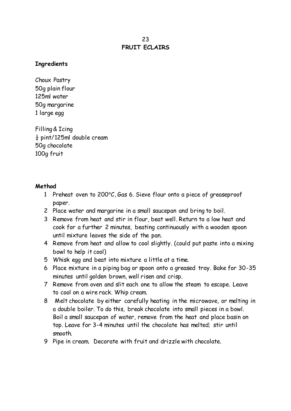## **Ingredients**

Choux Pastry 50g plain flour 125ml water 50g margarine 1 large egg

Filling & Icing  $\frac{1}{4}$  pint/125ml double cream 50g chocolate 100g fruit

- 1 Preheat oven to  $200^{\circ}$ C, Gas 6. Sieve flour onto a piece of greaseproof paper.
- 2 Place water and margarine in a small saucepan and bring to boil.
- 3 Remove from heat and stir in flour, beat well. Return to a low heat and cook for a further 2 minutes, beating continuously with a wooden spoon until mixture leaves the side of the pan.
- 4 Remove from heat and allow to cool slightly. (could put paste into a mixing bowl to help it cool)
- 5 Whisk egg and beat into mixture a little at a time.
- 6 Place mixture in a piping bag or spoon onto a greased tray. Bake for 30-35 minutes until golden brown, well risen and crisp.
- 7 Remove from oven and slit each one to allow the steam to escape. Leave to cool on a wire rack. Whip cream.
- 8 Melt chocolate by either carefully heating in the microwave, or melting in a double boiler. To do this, break chocolate into small pieces in a bowl. Boil a small saucepan of water, remove from the heat and place basin on top. Leave for 3-4 minutes until the chocolate has melted; stir until smooth.
- 9 Pipe in cream. Decorate with fruit and drizzle with chocolate.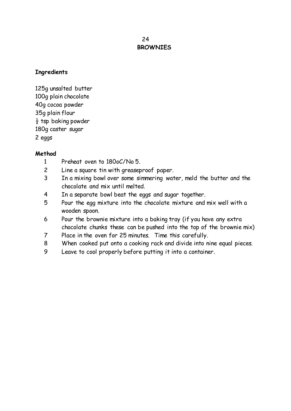## 24 **BROWNIES**

### **Ingredients**

125g unsalted butter 100g plain chocolate 40g cocoa powder 35g plain flour  $\frac{1}{2}$  tsp baking powder 180g caster sugar 2 eggs

- 1 Preheat oven to 180oC/No 5.
- 2 Line a square tin with greaseproof paper.
- 3 In a mixing bowl over some simmering water, meld the butter and the chocolate and mix until melted.
- 4 In a separate bowl beat the eggs and sugar together.
- 5 Pour the egg mixture into the chocolate mixture and mix well with a wooden spoon.
- 6 Pour the brownie mixture into a baking tray (if you have any extra chocolate chunks these can be pushed into the top of the brownie mix)
- 7 Place in the oven for 25 minutes. Time this carefully.
- 8 When cooked put onto a cooking rack and divide into nine equal pieces.
- 9 Leave to cool properly before putting it into a container.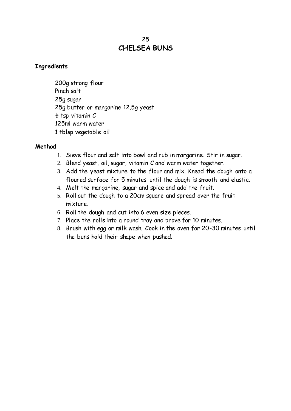## 25 **CHELSEA BUNS**

## **Ingredients**

200g strong flour Pinch salt 25g sugar 25g butter or margarine 12.5g yeast  $rac{1}{4}$  tsp vitamin C 125ml warm water 1 tblsp vegetable oil

- 1. Sieve flour and salt into bowl and rub in margarine. Stir in sugar.
- 2. Blend yeast, oil, sugar, vitamin C and warm water together.
- 3. Add the yeast mixture to the flour and mix. Knead the dough onto a floured surface for 5 minutes until the dough is smooth and elastic.
- 4. Melt the margarine, sugar and spice and add the fruit.
- 5. Roll out the dough to a 20cm square and spread over the fruit mixture.
- 6. Roll the dough and cut into 6 even size pieces.
- 7. Place the rolls into a round tray and prove for 10 minutes.
- 8. Brush with egg or milk wash. Cook in the oven for 20-30 minutes until the buns hold their shape when pushed.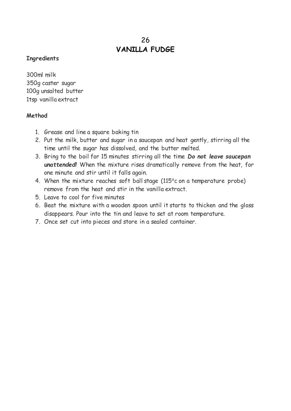## 26 **VANILLA FUDGE**

## **Ingredients**

300ml milk 350g caster sugar 100g unsalted butter 1tsp vanilla extract

- 1. Grease and line a square baking tin
- 2. Put the milk, butter and sugar in a saucepan and heat gently, stirring all the time until the sugar has dissolved, and the butter melted.
- 3. Bring to the boil for 15 minutes stirring all the time *Do not leave saucepan unattended!* When the mixture rises dramatically remove from the heat, for one minute and stir until it falls again.
- 4. When the mixture reaches soft ball stage  $(115^{\circ}c)$  on a temperature probe) remove from the heat and stir in the vanilla extract.
- 5. Leave to cool for five minutes
- 6. Beat the mixture with a wooden spoon until it starts to thicken and the gloss disappears. Pour into the tin and leave to set at room temperature.
- 7. Once set cut into pieces and store in a sealed container.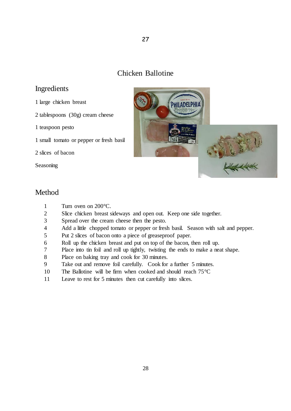## Chicken Ballotine

27

## Ingredients

- 1 large chicken breast
- 2 tablespoons (30g) cream cheese
- 1 teaspoon pesto
- 1 small tomato or pepper or fresh basil
- 2 slices of bacon

Seasoning



- 1 Turn oven on 200 °C.
- 2 Slice chicken breast sideways and open out. Keep one side together.
- 3 Spread over the cream cheese then the pesto.
- 4 Add a little chopped tomato or pepper or fresh basil. Season with salt and pepper.
- 5 Put 2 slices of bacon onto a piece of greaseproof paper.
- 6 Roll up the chicken breast and put on top of the bacon, then roll up.
- 7 Place into tin foil and roll up tightly, twisting the ends to make a neat shape.
- 8 Place on baking tray and cook for 30 minutes.
- 9 Take out and remove foil carefully. Cook for a further 5 minutes.
- 10 The Ballotine will be firm when cooked and should reach 75°C
- 11 Leave to rest for 5 minutes then cut carefully into slices.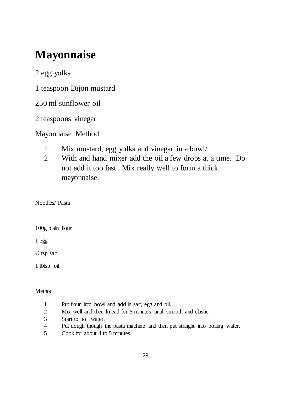## **Mayonnaise**

2 egg yolks

1 teaspoon Dijon mustard

250 ml sunflower oil

2 teaspoons vinegar

Mayonnaise Method

- 1 Mix mustard, egg yolks and vinegar in a bowl/
- 2 With and hand mixer add the oil a few drops at a time. Do not add it too fast. Mix really well to form a thick mayonnaise.

Noodles/ Pasta

100g plain flour

1 egg

 $\frac{1}{2}$  tsp salt

1 tblsp oil

- 1 Put flour into bowl and add in salt, egg and oil.
- 2 Mix well and then knead for 5 minutes until smooth and elastic.
- 3 Start to boil water.
- 4 Put dough though the pasta machine and then put straight into boiling water.
- 5 Cook for about 4 to 5 minutes.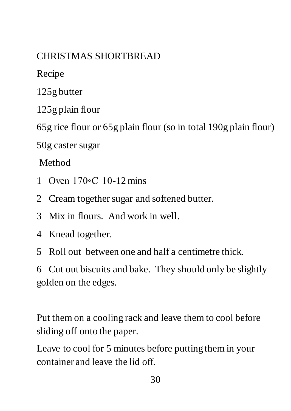## CHRISTMAS SHORTBREAD

Recipe

125g butter

125g plain flour

65g rice flour or 65g plain flour (so in total 190g plain flour)

50g caster sugar

Method

- 1 Oven 170 °C 10-12 mins
- 2 Cream together sugar and softened butter.
- 3 Mix in flours. And work in well.
- 4 Knead together.
- 5 Roll out between one and half a centimetre thick.

6 Cut out biscuits and bake. They should only be slightly golden on the edges.

Put them on a cooling rack and leave them to cool before sliding off onto the paper.

Leave to cool for 5 minutes before putting them in your container and leave the lid off.